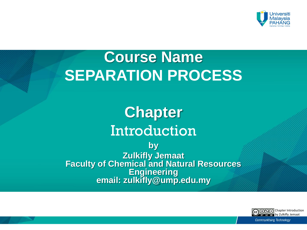

## **Course Name SEPARATION PROCESS**

## **Chapter**  Introduction

**by Zulkifly Jemaat Faculty of Chemical and Natural Resources Engineering email: zulkifly@ump.edu.my**

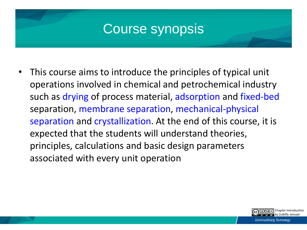#### Course synopsis

• This course aims to introduce the principles of typical unit operations involved in chemical and petrochemical industry such as drying of process material, adsorption and fixed-bed separation, membrane separation, mechanical-physical separation and crystallization. At the end of this course, it is expected that the students will understand theories, principles, calculations and basic design parameters associated with every unit operation

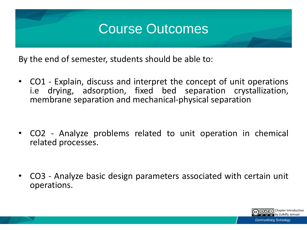#### Course Outcomes

By the end of semester, students should be able to:

• CO1 - Explain, discuss and interpret the concept of unit operations i.e drying, adsorption, fixed bed separation crystallization, membrane separation and mechanical-physical separation

• CO2 - Analyze problems related to unit operation in chemical related processes.

• CO3 - Analyze basic design parameters associated with certain unit operations.

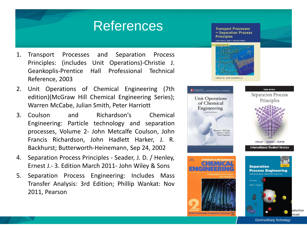#### References

- 1. Transport Processes and Separation Process Principles: (includes Unit Operations)-Christie J. Geankoplis-Prentice Hall Professional Technical Reference, 2003
- 2. Unit Operations of Chemical Engineering (7th edition)(McGraw Hill Chemical Engineering Series); Warren McCabe, Julian Smith, Peter Harriott
- 3. Coulson and Richardson's Chemical Engineering: Particle technology and separation processes, Volume 2- John Metcalfe Coulson, John Francis Richardson, John Hadlett Harker, J. R. Backhurst; Butterworth-Heinemann, Sep 24, 2002
- 4. Separation Process Principles Seader, J. D. / Henley, Ernest J.- 3. Edition March 2011- John Wiley & Sons
- 5. Separation Process Engineering: Includes Mass Transfer Analysis: 3rd Edition; Phillip Wankat: Nov 2011, Pearson

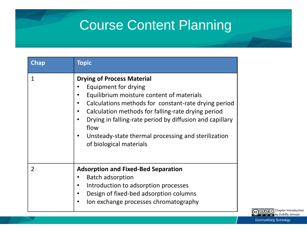### Course Content Planning

| Chap | <b>Topic</b>                                                                                                                                                                                                                                                                                                                                                               |
|------|----------------------------------------------------------------------------------------------------------------------------------------------------------------------------------------------------------------------------------------------------------------------------------------------------------------------------------------------------------------------------|
| 1    | <b>Drying of Process Material</b><br>Equipment for drying<br>Equilibrium moisture content of materials<br>Calculations methods for constant-rate drying period<br>Calculation methods for falling-rate drying period<br>Drying in falling-rate period by diffusion and capillary<br>flow<br>Unsteady-state thermal processing and sterilization<br>of biological materials |
| 2    | <b>Adsorption and Fixed-Bed Separation</b><br><b>Batch adsorption</b><br>Introduction to adsorption processes<br>Design of fixed-bed adsorption columns<br>Ion exchange processes chromatography                                                                                                                                                                           |

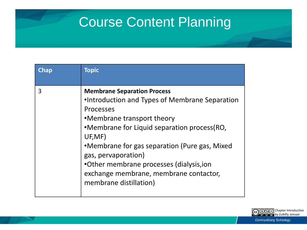### Course Content Planning

| <b>Chap</b> | <b>Topic</b>                                                                                                                                                                                                                                                                                                                                                                       |
|-------------|------------------------------------------------------------------------------------------------------------------------------------------------------------------------------------------------------------------------------------------------------------------------------------------------------------------------------------------------------------------------------------|
| 3           | <b>Membrane Separation Process</b><br>•Introduction and Types of Membrane Separation<br>Processes<br>•Membrane transport theory<br>•Membrane for Liquid separation process (RO,<br>UF, MF)<br>•Membrane for gas separation (Pure gas, Mixed<br>gas, pervaporation)<br>•Other membrane processes (dialysis, ion<br>exchange membrane, membrane contactor,<br>membrane distillation) |

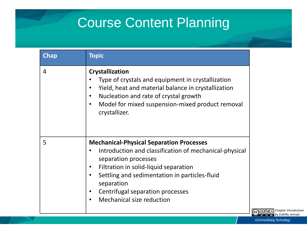### Course Content Planning

| <b>Chap</b> | <b>Topic</b>                                                                                                                                                                                                                                                                                               |
|-------------|------------------------------------------------------------------------------------------------------------------------------------------------------------------------------------------------------------------------------------------------------------------------------------------------------------|
| 4           | <b>Crystallization</b><br>Type of crystals and equipment in crystallization<br>Yield, heat and material balance in crystallization<br>Nucleation and rate of crystal growth<br>Model for mixed suspension-mixed product removal<br>crystallizer.                                                           |
| 5           | <b>Mechanical-Physical Separation Processes</b><br>Introduction and classification of mechanical-physical<br>separation processes<br>Filtration in solid-liquid separation<br>Settling and sedimentation in particles-fluid<br>separation<br>Centrifugal separation processes<br>Mechanical size reduction |

 $\overline{3000}$ Chapter Introduction BY NC ND by Zulkifly Jemaat